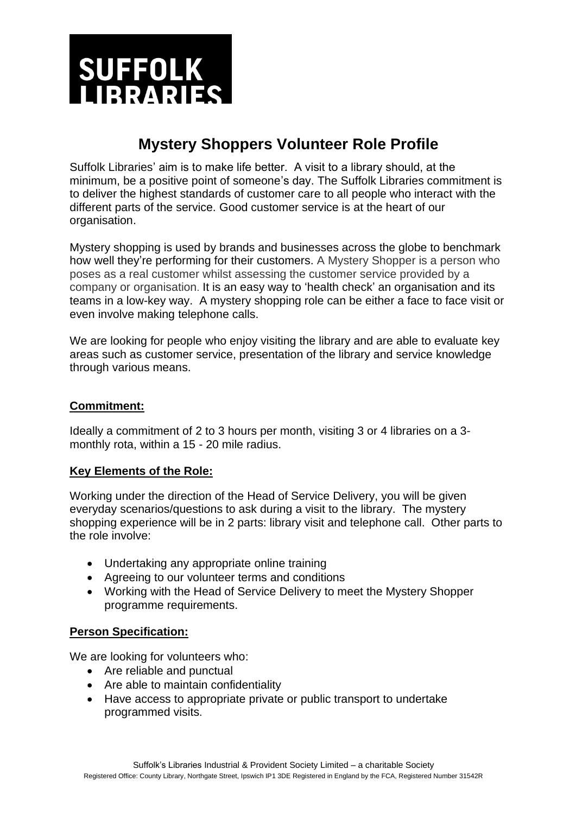

# **Mystery Shoppers Volunteer Role Profile**

Suffolk Libraries' aim is to make life better. A visit to a library should, at the minimum, be a positive point of someone's day. The Suffolk Libraries commitment is to deliver the highest standards of customer care to all people who interact with the different parts of the service. Good customer service is at the heart of our organisation.

Mystery shopping is used by brands and businesses across the globe to benchmark how well they're performing for their customers. A Mystery Shopper is a person who poses as a real customer whilst assessing the customer service provided by a company or organisation. It is an easy way to 'health check' an organisation and its teams in a low-key way. A mystery shopping role can be either a face to face visit or even involve making telephone calls.

We are looking for people who enjoy visiting the library and are able to evaluate key areas such as customer service, presentation of the library and service knowledge through various means.

### **Commitment:**

Ideally a commitment of 2 to 3 hours per month, visiting 3 or 4 libraries on a 3 monthly rota, within a 15 - 20 mile radius.

#### **Key Elements of the Role:**

Working under the direction of the Head of Service Delivery, you will be given everyday scenarios/questions to ask during a visit to the library. The mystery shopping experience will be in 2 parts: library visit and telephone call. Other parts to the role involve:

- Undertaking any appropriate online training
- Agreeing to our [volunteer terms and conditions](https://www.ageuk.org.uk/get-involved/volunteer/telephone-befriender/code-of-conduct/)
- Working with the Head of Service Delivery to meet the Mystery Shopper programme requirements.

## **Person Specification:**

We are looking for volunteers who:

- Are reliable and punctual
- Are able to maintain confidentiality
- Have access to appropriate private or public transport to undertake programmed visits.